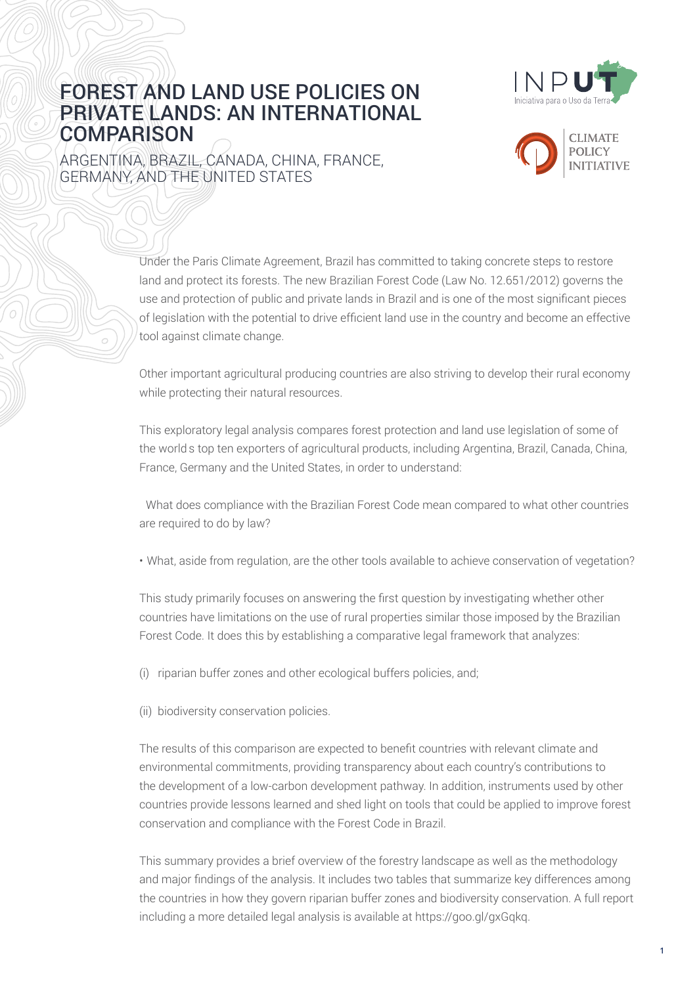

## FOREST AND LAND USE POLICIES ON PRIVATE LANDS: AN INTERNATIONAL **COMPARISON**

ARGENTINA, BRAZIL, CANADA, CHINA, FRANCE, GERMANY, AND THE UNITED STATES



Under the Paris Climate Agreement, Brazil has committed to taking concrete steps to restore land and protect its forests. The new Brazilian Forest Code (Law No. 12.651/2012) governs the use and protection of public and private lands in Brazil and is one of the most significant pieces of legislation with the potential to drive efficient land use in the country and become an effective tool against climate change.

Other important agricultural producing countries are also striving to develop their rural economy while protecting their natural resources.

This exploratory legal analysis compares forest protection and land use legislation of some of the world's top ten exporters of agricultural products, including Argentina, Brazil, Canada, China, France, Germany and the United States, in order to understand:

• What does compliance with the Brazilian Forest Code mean compared to what other countries are required to do by law?

• What, aside from regulation, are the other tools available to achieve conservation of vegetation?

This study primarily focuses on answering the first question by investigating whether other countries have limitations on the use of rural properties similar those imposed by the Brazilian Forest Code. It does this by establishing a comparative legal framework that analyzes:

- (i) riparian buffer zones and other ecological buffers policies, and;
- (ii) biodiversity conservation policies.

The results of this comparison are expected to benefit countries with relevant climate and environmental commitments, providing transparency about each country's contributions to the development of a low-carbon development pathway. In addition, instruments used by other countries provide lessons learned and shed light on tools that could be applied to improve forest conservation and compliance with the Forest Code in Brazil.

This summary provides a brief overview of the forestry landscape as well as the methodology and major findings of the analysis. It includes two tables that summarize key differences among the countries in how they govern riparian buffer zones and biodiversity conservation. A full report including a more detailed legal analysis is available at [https://goo.gl/gxGqkq.](https://goo.gl/gxGqkq)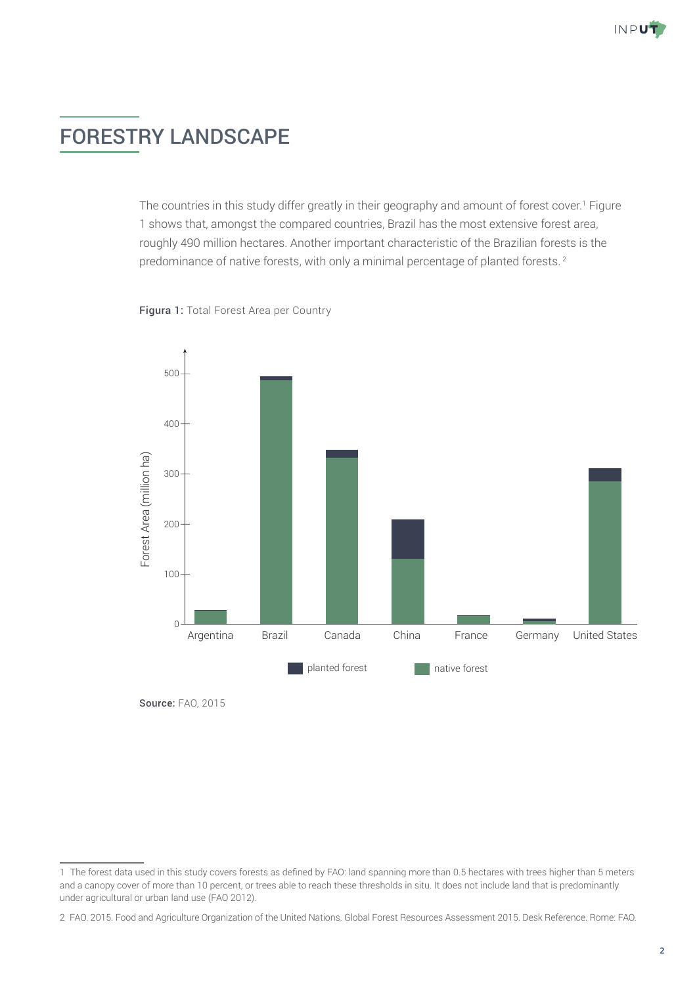# FORESTRY LANDSCAPE

The countries in this study differ greatly in their geography and amount of forest cover.<sup>1</sup> Figure 1 shows that, amongst the compared countries, Brazil has the most extensive forest area, roughly 490 million hectares. Another important characteristic of the Brazilian forests is the predominance of native forests, with only a minimal percentage of planted forests.<sup>2</sup>





Source: FAO, 2015

<sup>1</sup> The forest data used in this study covers forests as defined by FAO: land spanning more than 0.5 hectares with trees higher than 5 meters and a canopy cover of more than 10 percent, or trees able to reach these thresholds in situ. It does not include land that is predominantly under agricultural or urban land use (FAO 2012).

<sup>2</sup> FAO. 2015. Food and Agriculture Organization of the United Nations. Global Forest Resources Assessment 2015. Desk Reference. Rome: FAO.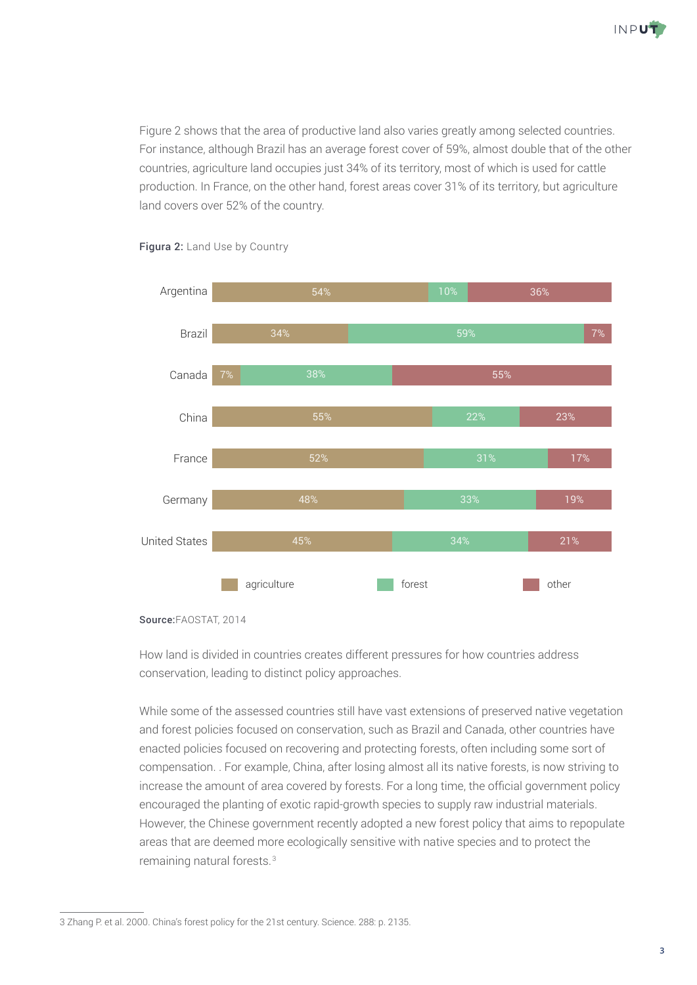

Figure 2 shows that the area of productive land also varies greatly among selected countries. For instance, although Brazil has an average forest cover of 59%, almost double that of the other countries, agriculture land occupies just 34% of its territory, most of which is used for cattle production. In France, on the other hand, forest areas cover 31% of its territory, but agriculture land covers over 52% of the country.



## Figura 2: Land Use by Country Land Use by Country

How land is divided in countries creates different pressures for how countries address conservation, leading to distinct policy approaches.

While some of the assessed countries still have vast extensions of preserved native vegetation and forest policies focused on conservation, such as Brazil and Canada, other countries have enacted policies focused on recovering and protecting forests, often including some sort of compensation. . For example, China, after losing almost all its native forests, is now striving to increase the amount of area covered by forests. For a long time, the official government policy encouraged the planting of exotic rapid-growth species to supply raw industrial materials. However, the Chinese government recently adopted a new forest policy that aims to repopulate areas that are deemed more ecologically sensitive with native species and to protect the remaining natural forests.<sup>3</sup>

Source:FAOSTAT, 2014

<sup>3</sup> Zhang P. et al. 2000. China's forest policy for the 21st century. Science. 288: p. 2135.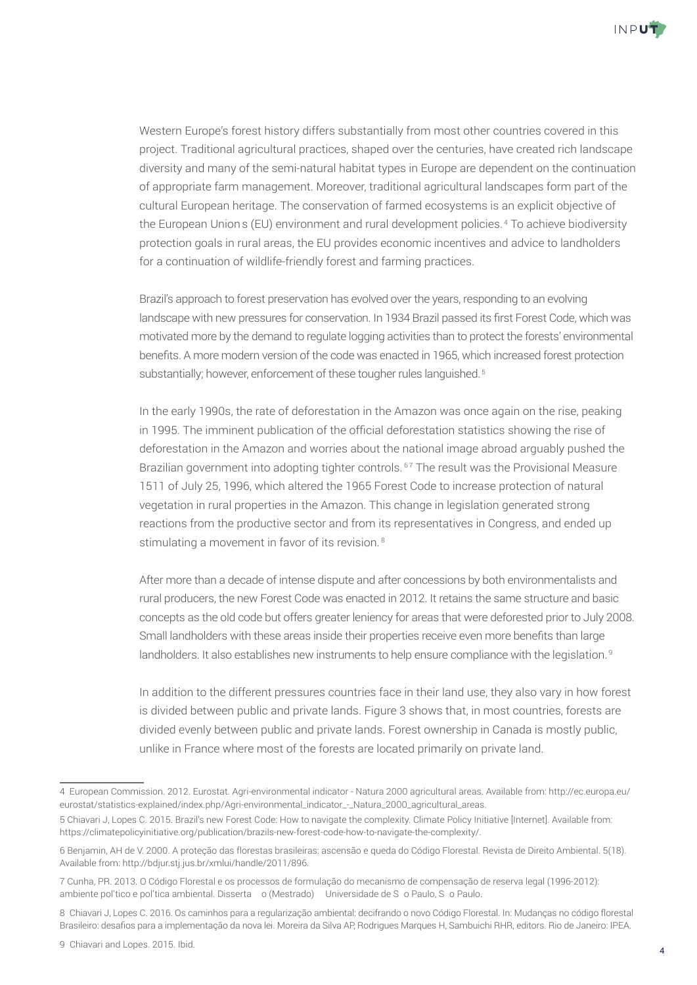

Western Europe's forest history differs substantially from most other countries covered in this project. Traditional agricultural practices, shaped over the centuries, have created rich landscape diversity and many of the semi-natural habitat types in Europe are dependent on the continuation of appropriate farm management. Moreover, traditional agricultural landscapes form part of the cultural European heritage. The conservation of farmed ecosystems is an explicit objective of the European Union's (EU) environment and rural development policies.<sup>4</sup> To achieve biodiversity protection goals in rural areas, the EU provides economic incentives and advice to landholders for a continuation of wildlife-friendly forest and farming practices.

Brazil's approach to forest preservation has evolved over the years, responding to an evolving landscape with new pressures for conservation. In 1934 Brazil passed its first Forest Code, which was motivated more by the demand to regulate logging activities than to protect the forests' environmental benefits. A more modern version of the code was enacted in 1965, which increased forest protection substantially; however, enforcement of these tougher rules languished.<sup>5</sup>

In the early 1990s, the rate of deforestation in the Amazon was once again on the rise, peaking in 1995. The imminent publication of the official deforestation statistics showing the rise of deforestation in the Amazon and worries about the national image abroad arguably pushed the Brazilian government into adopting tighter controls.<sup>67</sup> The result was the Provisional Measure 1511 of July 25, 1996, which altered the 1965 Forest Code to increase protection of natural vegetation in rural properties in the Amazon. This change in legislation generated strong reactions from the productive sector and from its representatives in Congress, and ended up stimulating a movement in favor of its revision.<sup>8</sup>

After more than a decade of intense dispute and after concessions by both environmentalists and rural producers, the new Forest Code was enacted in 2012. It retains the same structure and basic concepts as the old code but offers greater leniency for areas that were deforested prior to July 2008. Small landholders with these areas inside their properties receive even more benefits than large landholders. It also establishes new instruments to help ensure compliance with the legislation.<sup>9</sup>

In addition to the different pressures countries face in their land use, they also vary in how forest is divided between public and private lands. Figure 3 shows that, in most countries, forests are divided evenly between public and private lands. Forest ownership in Canada is mostly public, unlike in France where most of the forests are located primarily on private land.

<sup>4</sup> European Commission. 2012. Eurostat. Agri-environmental indicator - Natura 2000 agricultural areas. Available from: [http://ec.europa.eu/](http://ec.europa.eu/eurostat/statistics-explained/index.php/Agri-environmental_indicator_-_Natura_2000_agricultural_areas) [eurostat/statistics-explained/index.php/Agri-environmental\\_indicator\\_-\\_Natura\\_2000\\_agricultural\\_areas.](http://ec.europa.eu/eurostat/statistics-explained/index.php/Agri-environmental_indicator_-_Natura_2000_agricultural_areas)

<sup>5</sup> Chiavari J, Lopes C. 2015. Brazil's new Forest Code: How to navigate the complexity. Climate Policy Initiative [Internet]. Available from: [https://climatepolicyinitiative.org/publication/brazils-new-forest-code-how-to-navigate-the-complexity/.](https://climatepolicyinitiative.org/publication/brazils-new-forest-code-how-to-navigate-the-complexity/)

<sup>6</sup> Benjamin, AH de V. 2000. A proteção das florestas brasileiras: ascensão e queda do Código Florestal. Revista de Direito Ambiental. 5(18). Available from: http://bdjur.stj.jus.br/xmlui/handle/2011/896.

<sup>7</sup> Cunha, PR. 2013. O Código Florestal e os processos de formulação do mecanismo de compensação de reserva legal (1996-2012): ambiente político e política ambiental. Dissertação (Mestrado) – Universidade de São Paulo, São Paulo.

<sup>8</sup> Chiavari J, Lopes C. 2016. Os caminhos para a regularização ambiental: decifrando o novo Código Florestal. In: Mudanças no código florestal Brasileiro: desafios para a implementação da nova lei. Moreira da Silva AP, Rodrigues Marques H, Sambuichi RHR, editors. Rio de Janeiro: IPEA.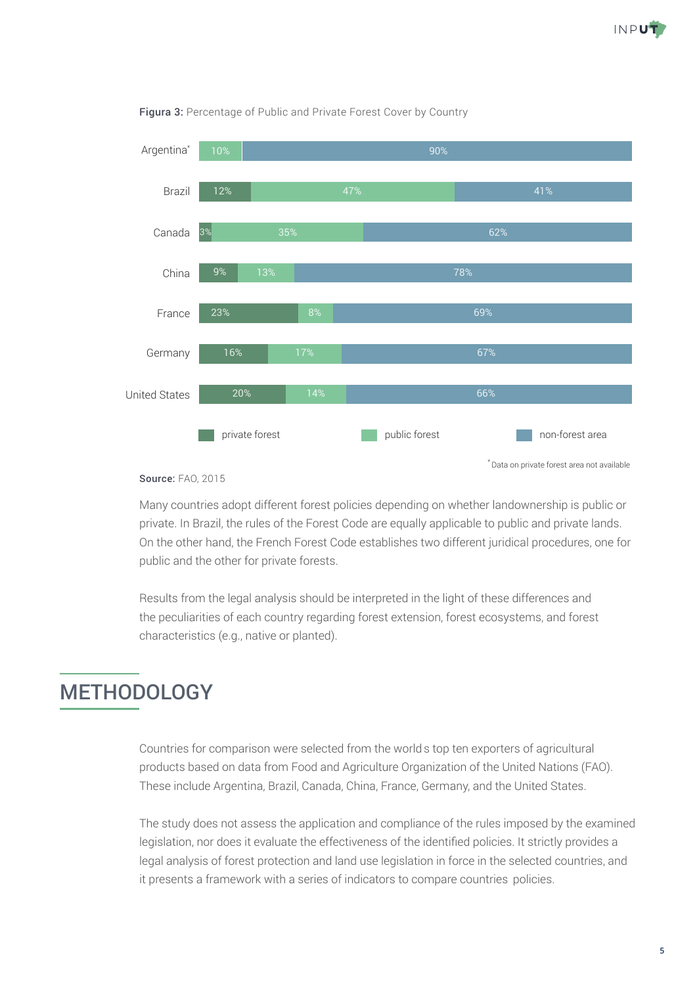



#### Figura 3: Percentage of Public and Private Forest Cover by Country

#### Source: FAO, 2015

Many countries adopt different forest policies depending on whether landownership is public or private. In Brazil, the rules of the Forest Code are equally applicable to public and private lands. On the other hand, the French Forest Code establishes two different juridical procedures, one for public and the other for private forests.

Results from the legal analysis should be interpreted in the light of these differences and the peculiarities of each country regarding forest extension, forest ecosystems, and forest characteristics (e.g., native or planted).

## **METHODOLOGY**

Countries for comparison were selected from the world's top ten exporters of agricultural products based on data from Food and Agriculture Organization of the United Nations (FAO). These include Argentina, Brazil, Canada, China, France, Germany, and the United States.

The study does not assess the application and compliance of the rules imposed by the examined legislation, nor does it evaluate the effectiveness of the identified policies. It strictly provides a legal analysis of forest protection and land use legislation in force in the selected countries, and it presents a framework with a series of indicators to compare countries' policies.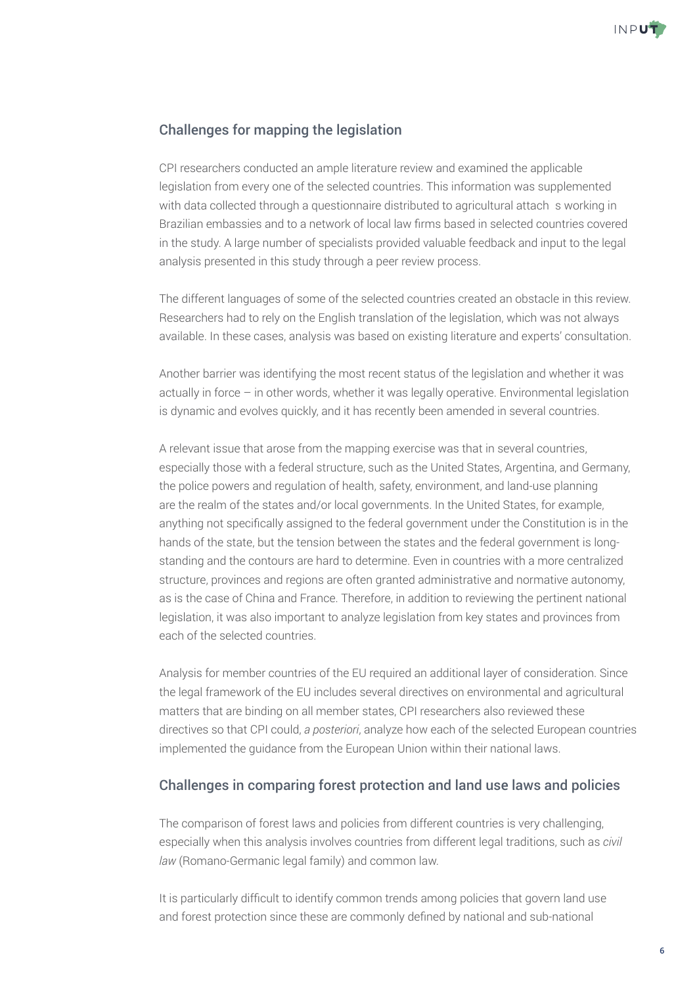

## Challenges for mapping the legislation

CPI researchers conducted an ample literature review and examined the applicable legislation from every one of the selected countries. This information was supplemented with data collected through a questionnaire distributed to agricultural attachés working in Brazilian embassies and to a network of local law firms based in selected countries covered in the study. A large number of specialists provided valuable feedback and input to the legal analysis presented in this study through a peer review process.

The different languages of some of the selected countries created an obstacle in this review. Researchers had to rely on the English translation of the legislation, which was not always available. In these cases, analysis was based on existing literature and experts' consultation.

Another barrier was identifying the most recent status of the legislation and whether it was actually in force – in other words, whether it was legally operative. Environmental legislation is dynamic and evolves quickly, and it has recently been amended in several countries.

A relevant issue that arose from the mapping exercise was that in several countries, especially those with a federal structure, such as the United States, Argentina, and Germany, the police powers and regulation of health, safety, environment, and land-use planning are the realm of the states and/or local governments. In the United States, for example, anything not specifically assigned to the federal government under the Constitution is in the hands of the state, but the tension between the states and the federal government is longstanding and the contours are hard to determine. Even in countries with a more centralized structure, provinces and regions are often granted administrative and normative autonomy, as is the case of China and France. Therefore, in addition to reviewing the pertinent national legislation, it was also important to analyze legislation from key states and provinces from each of the selected countries.

Analysis for member countries of the EU required an additional layer of consideration. Since the legal framework of the EU includes several directives on environmental and agricultural matters that are binding on all member states, CPI researchers also reviewed these directives so that CPI could, *a posteriori*, analyze how each of the selected European countries implemented the guidance from the European Union within their national laws.

## Challenges in comparing forest protection and land use laws and policies

The comparison of forest laws and policies from different countries is very challenging, especially when this analysis involves countries from different legal traditions, such as *civil law* (Romano-Germanic legal family) and common law.

It is particularly difficult to identify common trends among policies that govern land use and forest protection since these are commonly defined by national and sub-national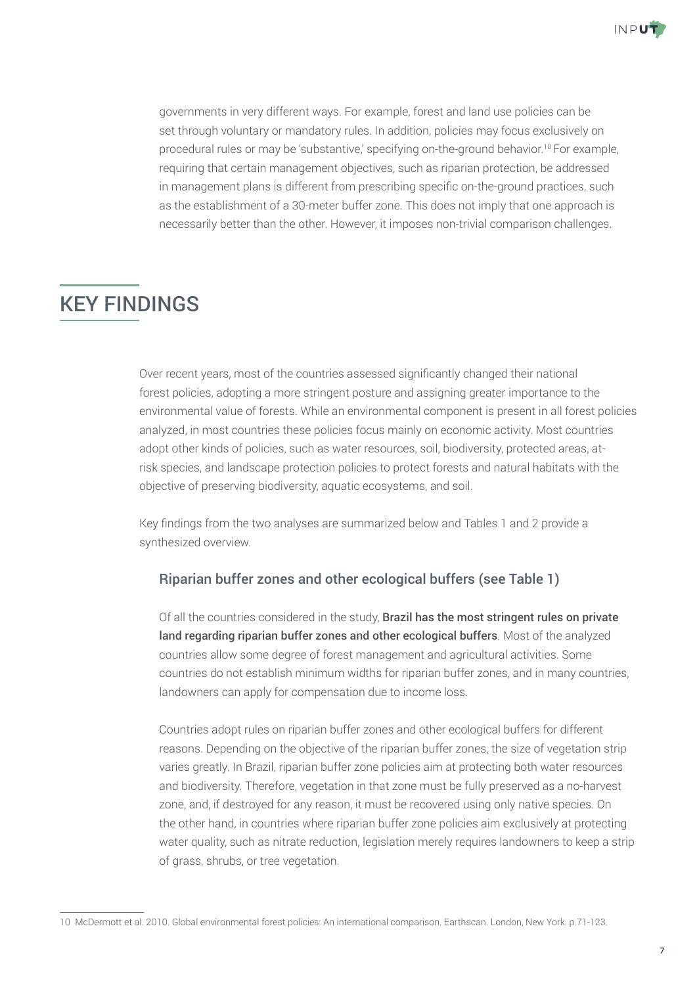

governments in very different ways. For example, forest and land use policies can be set through voluntary or mandatory rules. In addition, policies may focus exclusively on procedural rules or may be 'substantive,' specifying on-the-ground behavior.10 For example, requiring that certain management objectives, such as riparian protection, be addressed in management plans is different from prescribing specific on-the-ground practices, such as the establishment of a 30-meter buffer zone. This does not imply that one approach is necessarily better than the other. However, it imposes non-trivial comparison challenges.

# KEY FINDINGS

Over recent years, most of the countries assessed significantly changed their national forest policies, adopting a more stringent posture and assigning greater importance to the environmental value of forests. While an environmental component is present in all forest policies analyzed, in most countries these policies focus mainly on economic activity. Most countries adopt other kinds of policies, such as water resources, soil, biodiversity, protected areas, atrisk species, and landscape protection policies to protect forests and natural habitats with the objective of preserving biodiversity, aquatic ecosystems, and soil.

Key findings from the two analyses are summarized below and Tables 1 and 2 provide a synthesized overview.

## Riparian buffer zones and other ecological buffers (see Table 1)

Of all the countries considered in the study, Brazil has the most stringent rules on private land regarding riparian buffer zones and other ecological buffers. Most of the analyzed countries allow some degree of forest management and agricultural activities. Some countries do not establish minimum widths for riparian buffer zones, and in many countries, landowners can apply for compensation due to income loss.

Countries adopt rules on riparian buffer zones and other ecological buffers for different reasons. Depending on the objective of the riparian buffer zones, the size of vegetation strip varies greatly. In Brazil, riparian buffer zone policies aim at protecting both water resources and biodiversity. Therefore, vegetation in that zone must be fully preserved as a no-harvest zone, and, if destroyed for any reason, it must be recovered using only native species. On the other hand, in countries where riparian buffer zone policies aim exclusively at protecting water quality, such as nitrate reduction, legislation merely requires landowners to keep a strip of grass, shrubs, or tree vegetation.

<sup>10</sup> McDermott et al. 2010. Global environmental forest policies: An international comparison. Earthscan. London, New York. p.71-123.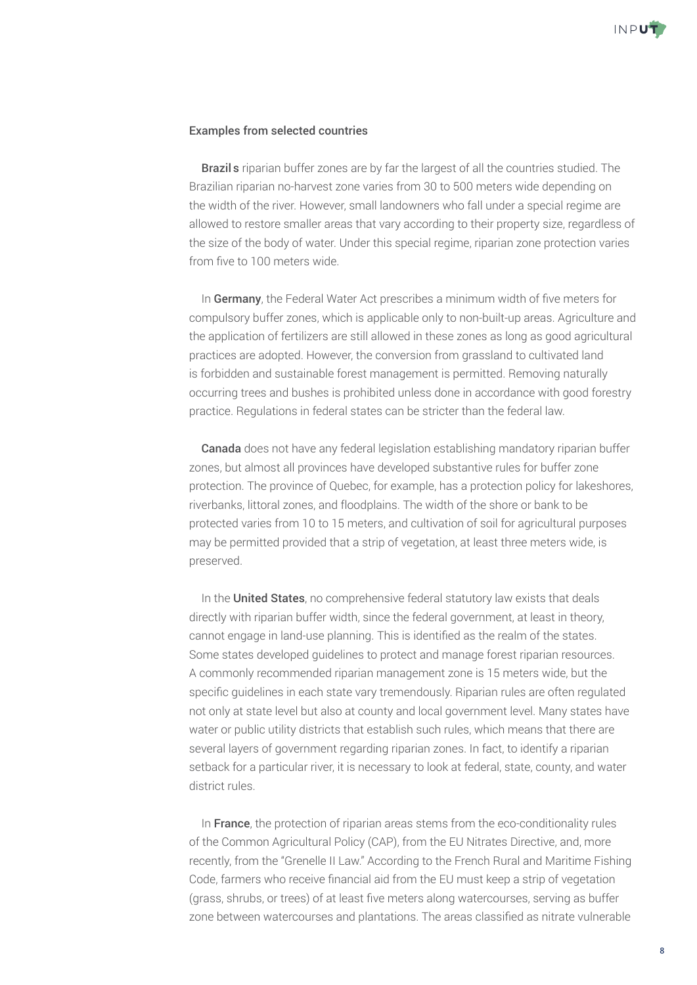

### Examples from selected countries

• Brazil's riparian buffer zones are by far the largest of all the countries studied. The Brazilian riparian no-harvest zone varies from 30 to 500 meters wide depending on the width of the river. However, small landowners who fall under a special regime are allowed to restore smaller areas that vary according to their property size, regardless of the size of the body of water. Under this special regime, riparian zone protection varies from five to 100 meters wide.

• In Germany, the Federal Water Act prescribes a minimum width of five meters for compulsory buffer zones, which is applicable only to non-built-up areas. Agriculture and the application of fertilizers are still allowed in these zones as long as good agricultural practices are adopted. However, the conversion from grassland to cultivated land is forbidden and sustainable forest management is permitted. Removing naturally occurring trees and bushes is prohibited unless done in accordance with good forestry practice. Regulations in federal states can be stricter than the federal law.

• Canada does not have any federal legislation establishing mandatory riparian buffer zones, but almost all provinces have developed substantive rules for buffer zone protection. The province of Quebec, for example, has a protection policy for lakeshores, riverbanks, littoral zones, and floodplains. The width of the shore or bank to be protected varies from 10 to 15 meters, and cultivation of soil for agricultural purposes may be permitted provided that a strip of vegetation, at least three meters wide, is preserved.

• In the United States, no comprehensive federal statutory law exists that deals directly with riparian buffer width, since the federal government, at least in theory, cannot engage in land-use planning. This is identified as the realm of the states. Some states developed guidelines to protect and manage forest riparian resources. A commonly recommended riparian management zone is 15 meters wide, but the specific guidelines in each state vary tremendously. Riparian rules are often regulated not only at state level but also at county and local government level. Many states have water or public utility districts that establish such rules, which means that there are several layers of government regarding riparian zones. In fact, to identify a riparian setback for a particular river, it is necessary to look at federal, state, county, and water district rules.

• In France, the protection of riparian areas stems from the eco-conditionality rules of the Common Agricultural Policy (CAP), from the EU Nitrates Directive, and, more recently, from the "Grenelle II Law." According to the French Rural and Maritime Fishing Code, farmers who receive financial aid from the EU must keep a strip of vegetation (grass, shrubs, or trees) of at least five meters along watercourses, serving as buffer zone between watercourses and plantations. The areas classified as nitrate vulnerable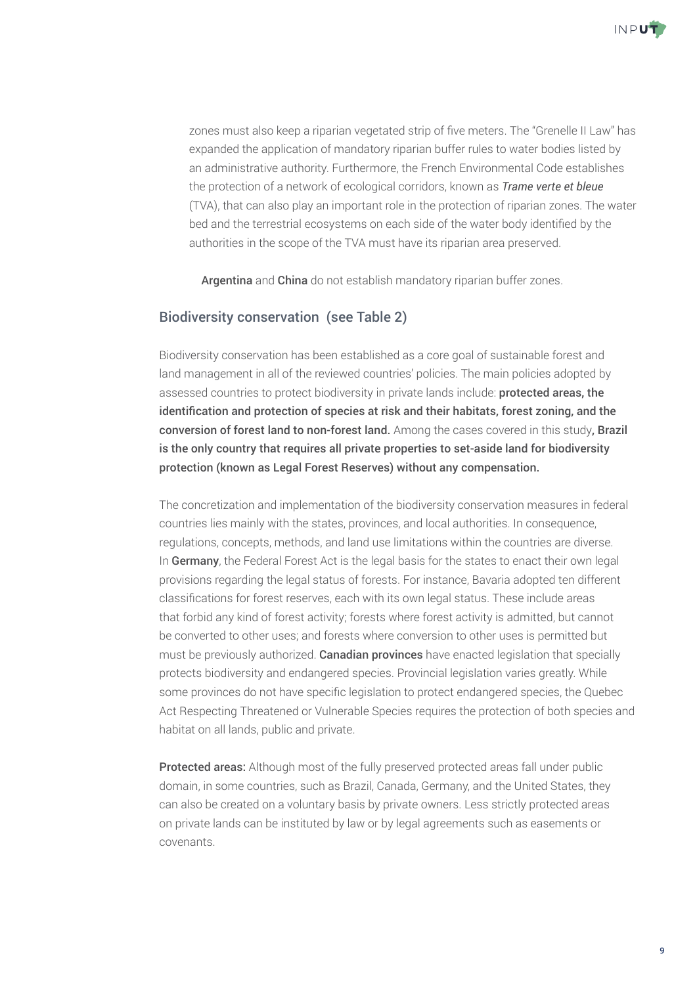

zones must also keep a riparian vegetated strip of five meters. The "Grenelle II Law" has expanded the application of mandatory riparian buffer rules to water bodies listed by an administrative authority. Furthermore, the French Environmental Code establishes the protection of a network of ecological corridors, known as *Trame verte et bleue* (TVA), that can also play an important role in the protection of riparian zones. The water bed and the terrestrial ecosystems on each side of the water body identified by the authorities in the scope of the TVA must have its riparian area preserved.

• Argentina and China do not establish mandatory riparian buffer zones.

## Biodiversity conservation (see Table 2)

Biodiversity conservation has been established as a core goal of sustainable forest and land management in all of the reviewed countries' policies. The main policies adopted by assessed countries to protect biodiversity in private lands include: protected areas, the identification and protection of species at risk and their habitats, forest zoning, and the conversion of forest land to non-forest land. Among the cases covered in this study, Brazil is the only country that requires all private properties to set-aside land for biodiversity protection (known as Legal Forest Reserves) without any compensation.

The concretization and implementation of the biodiversity conservation measures in federal countries lies mainly with the states, provinces, and local authorities. In consequence, regulations, concepts, methods, and land use limitations within the countries are diverse. In Germany, the Federal Forest Act is the legal basis for the states to enact their own legal provisions regarding the legal status of forests. For instance, Bavaria adopted ten different classifications for forest reserves, each with its own legal status. These include areas that forbid any kind of forest activity; forests where forest activity is admitted, but cannot be converted to other uses; and forests where conversion to other uses is permitted but must be previously authorized. Canadian provinces have enacted legislation that specially protects biodiversity and endangered species. Provincial legislation varies greatly. While some provinces do not have specific legislation to protect endangered species, the Quebec Act Respecting Threatened or Vulnerable Species requires the protection of both species and habitat on all lands, public and private.

Protected areas: Although most of the fully preserved protected areas fall under public domain, in some countries, such as Brazil, Canada, Germany, and the United States, they can also be created on a voluntary basis by private owners. Less strictly protected areas on private lands can be instituted by law or by legal agreements such as easements or covenants.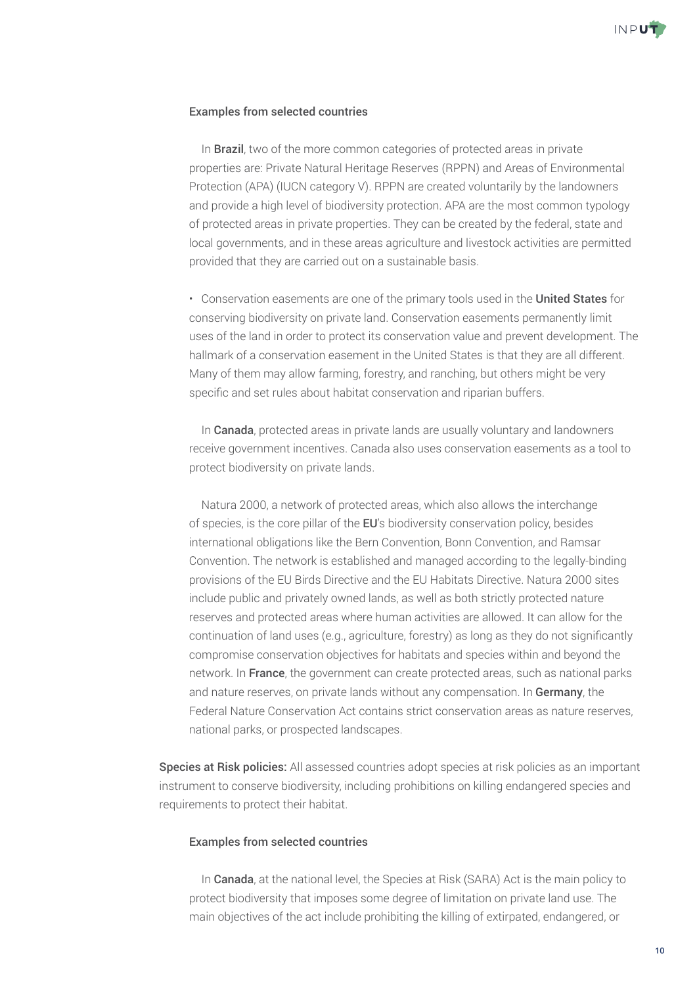

## Examples from selected countries

• In **Brazil**, two of the more common categories of protected areas in private properties are: Private Natural Heritage Reserves (RPPN) and Areas of Environmental Protection (APA) (IUCN category V). RPPN are created voluntarily by the landowners and provide a high level of biodiversity protection. APA are the most common typology of protected areas in private properties. They can be created by the federal, state and local governments, and in these areas agriculture and livestock activities are permitted provided that they are carried out on a sustainable basis.

• Conservation easements are one of the primary tools used in the United States for conserving biodiversity on private land. Conservation easements permanently limit uses of the land in order to protect its conservation value and prevent development. The hallmark of a conservation easement in the United States is that they are all different. Many of them may allow farming, forestry, and ranching, but others might be very specific and set rules about habitat conservation and riparian buffers.

• In **Canada**, protected areas in private lands are usually voluntary and landowners receive government incentives. Canada also uses conservation easements as a tool to protect biodiversity on private lands.

• Natura 2000, a network of protected areas, which also allows the interchange of species, is the core pillar of the EU's biodiversity conservation policy, besides international obligations like the Bern Convention, Bonn Convention, and Ramsar Convention. The network is established and managed according to the legally-binding provisions of the EU Birds Directive and the EU Habitats Directive. Natura 2000 sites include public and privately owned lands, as well as both strictly protected nature reserves and protected areas where human activities are allowed. It can allow for the continuation of land uses (e.g., agriculture, forestry) as long as they do not significantly compromise conservation objectives for habitats and species within and beyond the network. In France, the government can create protected areas, such as national parks and nature reserves, on private lands without any compensation. In Germany, the Federal Nature Conservation Act contains strict conservation areas as nature reserves, national parks, or prospected landscapes.

Species at Risk policies: All assessed countries adopt species at risk policies as an important instrument to conserve biodiversity, including prohibitions on killing endangered species and requirements to protect their habitat.

### Examples from selected countries

• In **Canada**, at the national level, the Species at Risk (SARA) Act is the main policy to protect biodiversity that imposes some degree of limitation on private land use. The main objectives of the act include prohibiting the killing of extirpated, endangered, or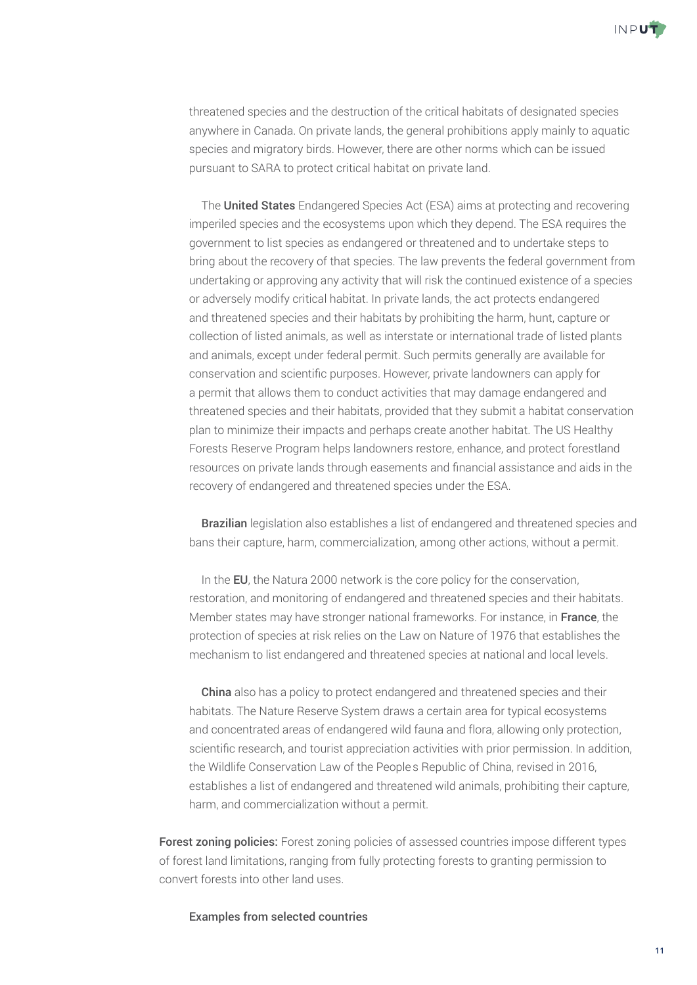

threatened species and the destruction of the critical habitats of designated species anywhere in Canada. On private lands, the general prohibitions apply mainly to aquatic species and migratory birds. However, there are other norms which can be issued pursuant to SARA to protect critical habitat on private land.

• The United States Endangered Species Act (ESA) aims at protecting and recovering imperiled species and the ecosystems upon which they depend. The ESA requires the government to list species as endangered or threatened and to undertake steps to bring about the recovery of that species. The law prevents the federal government from undertaking or approving any activity that will risk the continued existence of a species or adversely modify critical habitat. In private lands, the act protects endangered and threatened species and their habitats by prohibiting the harm, hunt, capture or collection of listed animals, as well as interstate or international trade of listed plants and animals, except under federal permit. Such permits generally are available for conservation and scientific purposes. However, private landowners can apply for a permit that allows them to conduct activities that may damage endangered and threatened species and their habitats, provided that they submit a habitat conservation plan to minimize their impacts and perhaps create another habitat. The US Healthy Forests Reserve Program helps landowners restore, enhance, and protect forestland resources on private lands through easements and financial assistance and aids in the recovery of endangered and threatened species under the ESA.

• Brazilian legislation also establishes a list of endangered and threatened species and bans their capture, harm, commercialization, among other actions, without a permit.

• In the EU, the Natura 2000 network is the core policy for the conservation, restoration, and monitoring of endangered and threatened species and their habitats. Member states may have stronger national frameworks. For instance, in **France**, the protection of species at risk relies on the Law on Nature of 1976 that establishes the mechanism to list endangered and threatened species at national and local levels.

• China also has a policy to protect endangered and threatened species and their habitats. The Nature Reserve System draws a certain area for typical ecosystems and concentrated areas of endangered wild fauna and flora, allowing only protection, scientific research, and tourist appreciation activities with prior permission. In addition, the Wildlife Conservation Law of the People's Republic of China, revised in 2016, establishes a list of endangered and threatened wild animals, prohibiting their capture, harm, and commercialization without a permit.

Forest zoning policies: Forest zoning policies of assessed countries impose different types of forest land limitations, ranging from fully protecting forests to granting permission to convert forests into other land uses.

Examples from selected countries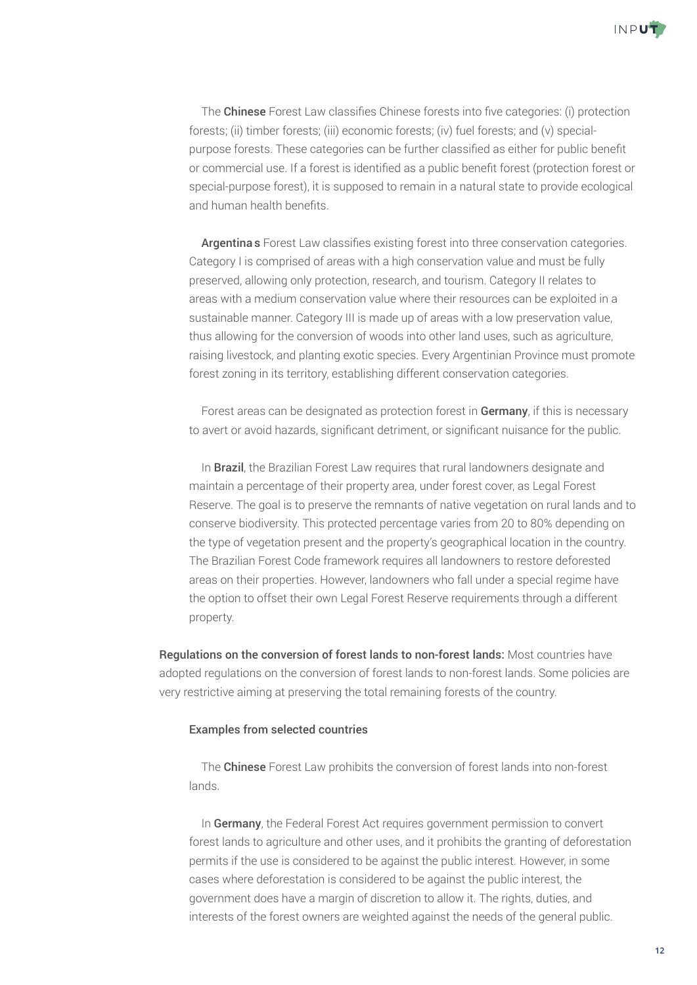

• The Chinese Forest Law classifies Chinese forests into five categories: (i) protection forests; (ii) timber forests; (iii) economic forests; (iv) fuel forests; and (v) specialpurpose forests. These categories can be further classified as either for public benefit or commercial use. If a forest is identified as a public benefit forest (protection forest or special-purpose forest), it is supposed to remain in a natural state to provide ecological and human health benefits.

• Argentina's Forest Law classifies existing forest into three conservation categories. Category I is comprised of areas with a high conservation value and must be fully preserved, allowing only protection, research, and tourism. Category II relates to areas with a medium conservation value where their resources can be exploited in a sustainable manner. Category III is made up of areas with a low preservation value, thus allowing for the conversion of woods into other land uses, such as agriculture, raising livestock, and planting exotic species. Every Argentinian Province must promote forest zoning in its territory, establishing different conservation categories.

• Forest areas can be designated as protection forest in Germany, if this is necessary to avert or avoid hazards, significant detriment, or significant nuisance for the public.

• In Brazil, the Brazilian Forest Law requires that rural landowners designate and maintain a percentage of their property area, under forest cover, as Legal Forest Reserve. The goal is to preserve the remnants of native vegetation on rural lands and to conserve biodiversity. This protected percentage varies from 20 to 80% depending on the type of vegetation present and the property's geographical location in the country. The Brazilian Forest Code framework requires all landowners to restore deforested areas on their properties. However, landowners who fall under a special regime have the option to offset their own Legal Forest Reserve requirements through a different property.

Regulations on the conversion of forest lands to non-forest lands: Most countries have adopted regulations on the conversion of forest lands to non-forest lands. Some policies are very restrictive aiming at preserving the total remaining forests of the country.

### Examples from selected countries

• The Chinese Forest Law prohibits the conversion of forest lands into non-forest lands.

• In Germany, the Federal Forest Act requires government permission to convert forest lands to agriculture and other uses, and it prohibits the granting of deforestation permits if the use is considered to be against the public interest. However, in some cases where deforestation is considered to be against the public interest, the government does have a margin of discretion to allow it. The rights, duties, and interests of the forest owners are weighted against the needs of the general public.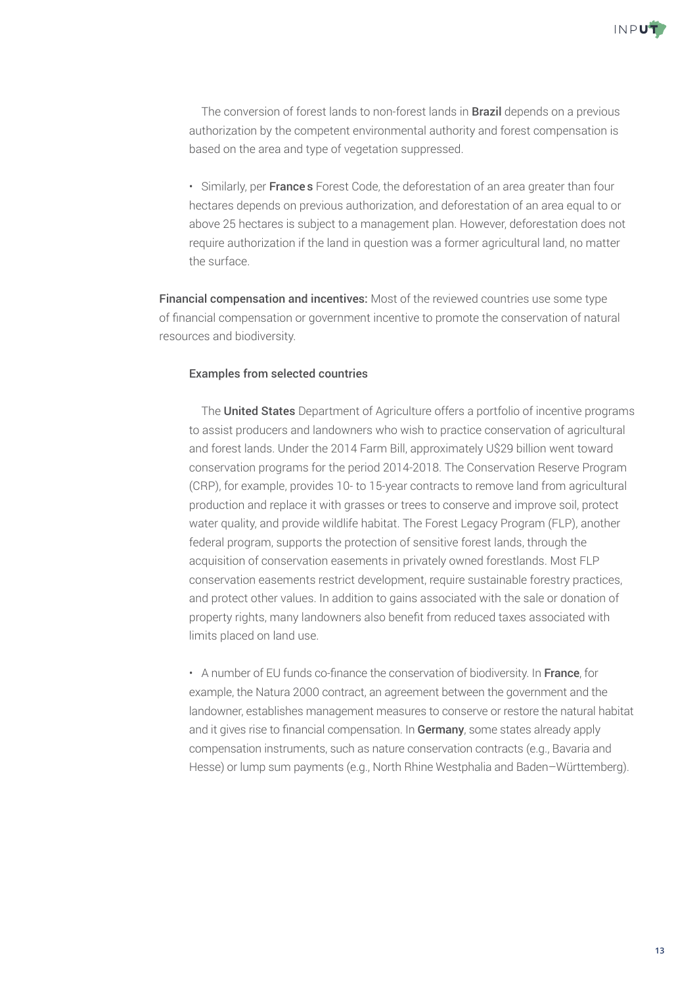

• The conversion of forest lands to non-forest lands in **Brazil** depends on a previous authorization by the competent environmental authority and forest compensation is based on the area and type of vegetation suppressed.

• Similarly, per France's Forest Code, the deforestation of an area greater than four hectares depends on previous authorization, and deforestation of an area equal to or above 25 hectares is subject to a management plan. However, deforestation does not require authorization if the land in question was a former agricultural land, no matter the surface.

Financial compensation and incentives: Most of the reviewed countries use some type of financial compensation or government incentive to promote the conservation of natural resources and biodiversity.

### Examples from selected countries

• The United States Department of Agriculture offers a portfolio of incentive programs to assist producers and landowners who wish to practice conservation of agricultural and forest lands. Under the 2014 Farm Bill, approximately U\$29 billion went toward conservation programs for the period 2014-2018. The Conservation Reserve Program (CRP), for example, provides 10- to 15-year contracts to remove land from agricultural production and replace it with grasses or trees to conserve and improve soil, protect water quality, and provide wildlife habitat. The Forest Legacy Program (FLP), another federal program, supports the protection of sensitive forest lands, through the acquisition of conservation easements in privately owned forestlands. Most FLP conservation easements restrict development, require sustainable forestry practices, and protect other values. In addition to gains associated with the sale or donation of property rights, many landowners also benefit from reduced taxes associated with limits placed on land use.

• A number of EU funds co-finance the conservation of biodiversity. In France, for example, the Natura 2000 contract, an agreement between the government and the landowner, establishes management measures to conserve or restore the natural habitat and it gives rise to financial compensation. In Germany, some states already apply compensation instruments, such as nature conservation contracts (e.g., Bavaria and Hesse) or lump sum payments (e.g., North Rhine Westphalia and Baden–Württemberg).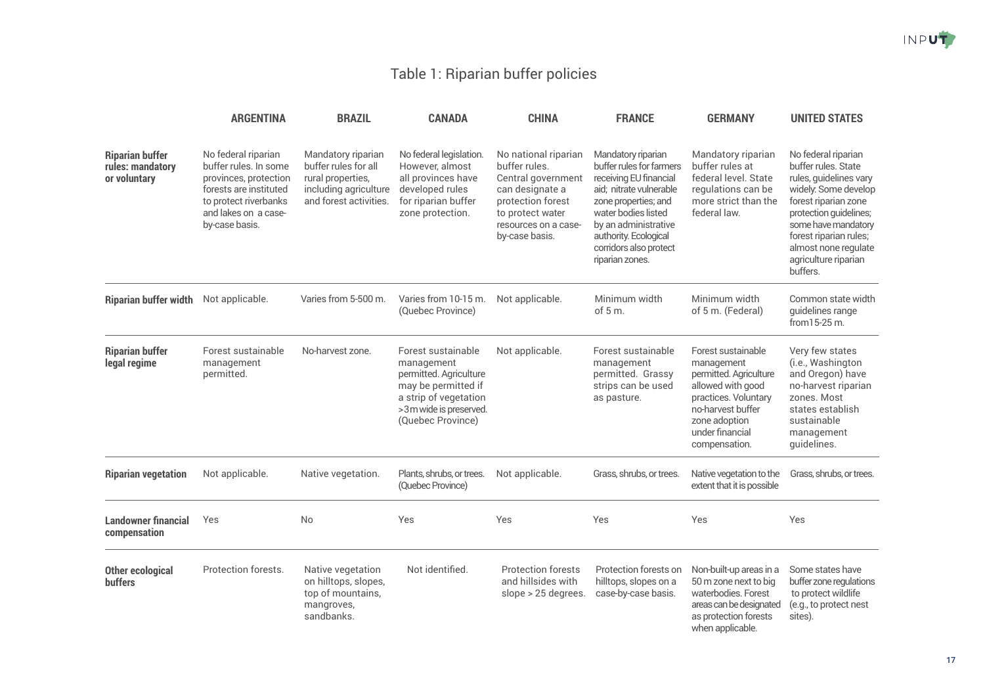## Table 1: Riparian buffer policies

|                                                            | <b>ARGENTINA</b>                                                                                                                                                   | <b>BRAZIL</b>                                                                                                      | <b>CANADA</b>                                                                                                                                             | <b>CHINA</b>                                                                                                                                                      | <b>FRANCE</b>                                                                                                                                                                                                                                    | <b>GERMANY</b>                                                                                                                                                                    | <b>UNITED STATES</b>                                                                                                                                                                                                                                        |
|------------------------------------------------------------|--------------------------------------------------------------------------------------------------------------------------------------------------------------------|--------------------------------------------------------------------------------------------------------------------|-----------------------------------------------------------------------------------------------------------------------------------------------------------|-------------------------------------------------------------------------------------------------------------------------------------------------------------------|--------------------------------------------------------------------------------------------------------------------------------------------------------------------------------------------------------------------------------------------------|-----------------------------------------------------------------------------------------------------------------------------------------------------------------------------------|-------------------------------------------------------------------------------------------------------------------------------------------------------------------------------------------------------------------------------------------------------------|
| <b>Riparian buffer</b><br>rules: mandatory<br>or voluntary | No federal riparian<br>buffer rules. In some<br>provinces, protection<br>forests are instituted<br>to protect riverbanks<br>and lakes on a case-<br>by-case basis. | Mandatory riparian<br>buffer rules for all<br>rural properties,<br>including agriculture<br>and forest activities. | No federal legislation.<br>However, almost<br>all provinces have<br>developed rules<br>for riparian buffer<br>zone protection.                            | No national riparian<br>buffer rules.<br>Central government<br>can designate a<br>protection forest<br>to protect water<br>resources on a case-<br>by-case basis. | Mandatory riparian<br>buffer rules for farmers<br>receiving EU financial<br>aid; nitrate vulnerable<br>zone properties; and<br>water bodies listed<br>by an administrative<br>authority. Ecological<br>corridors also protect<br>riparian zones. | Mandatory riparian<br>buffer rules at<br>federal level. State<br>regulations can be<br>more strict than the<br>federal law.                                                       | No federal riparian<br>buffer rules. State<br>rules, guidelines vary<br>widely. Some develop<br>forest riparian zone<br>protection guidelines;<br>some have mandatory<br>forest riparian rules;<br>almost none regulate<br>agriculture riparian<br>buffers. |
| <b>Riparian buffer width</b>                               | Not applicable.                                                                                                                                                    | Varies from 5-500 m.                                                                                               | Varies from 10-15 m.<br>(Quebec Province)                                                                                                                 | Not applicable.                                                                                                                                                   | Minimum width<br>of 5 m.                                                                                                                                                                                                                         | Minimum width<br>of 5 m. (Federal)                                                                                                                                                | Common state width<br>guidelines range<br>from 15-25 m.                                                                                                                                                                                                     |
| <b>Riparian buffer</b><br>legal regime                     | Forest sustainable<br>management<br>permitted.                                                                                                                     | No-harvest zone.                                                                                                   | Forest sustainable<br>management<br>permitted. Agriculture<br>may be permitted if<br>a strip of vegetation<br>>3m wide is preserved.<br>(Quebec Province) | Not applicable.                                                                                                                                                   | Forest sustainable<br>management<br>permitted. Grassy<br>strips can be used<br>as pasture.                                                                                                                                                       | Forest sustainable<br>management<br>permitted. Agriculture<br>allowed with good<br>practices. Voluntary<br>no-harvest buffer<br>zone adoption<br>under financial<br>compensation. | Very few states<br>(i.e., Washington<br>and Oregon) have<br>no-harvest riparian<br>zones. Most<br>states establish<br>sustainable<br>management<br>guidelines.                                                                                              |
| <b>Riparian vegetation</b>                                 | Not applicable.                                                                                                                                                    | Native vegetation.                                                                                                 | Plants, shrubs, or trees.<br>(Quebec Province)                                                                                                            | Not applicable.                                                                                                                                                   | Grass, shrubs, or trees.                                                                                                                                                                                                                         | Native vegetation to the<br>extent that it is possible                                                                                                                            | Grass, shrubs, or trees.                                                                                                                                                                                                                                    |
| <b>Landowner financial</b><br>compensation                 | Yes                                                                                                                                                                | No                                                                                                                 | Yes                                                                                                                                                       | Yes                                                                                                                                                               | Yes                                                                                                                                                                                                                                              | Yes                                                                                                                                                                               | Yes                                                                                                                                                                                                                                                         |
| <b>Other ecological</b><br><b>buffers</b>                  | Protection forests.                                                                                                                                                | Native vegetation<br>on hilltops, slopes,<br>top of mountains,<br>mangroves,<br>sandbanks.                         | Not identified.                                                                                                                                           | <b>Protection forests</b><br>and hillsides with<br>slope > 25 degrees.                                                                                            | Protection forests on<br>hilltops, slopes on a<br>case-by-case basis.                                                                                                                                                                            | Non-built-up areas in a<br>50 m zone next to big<br>waterbodies. Forest<br>areas can be designated<br>as protection forests<br>when applicable.                                   | Some states have<br>buffer zone regulations<br>to protect wildlife<br>(e.g., to protect nest<br>sites).                                                                                                                                                     |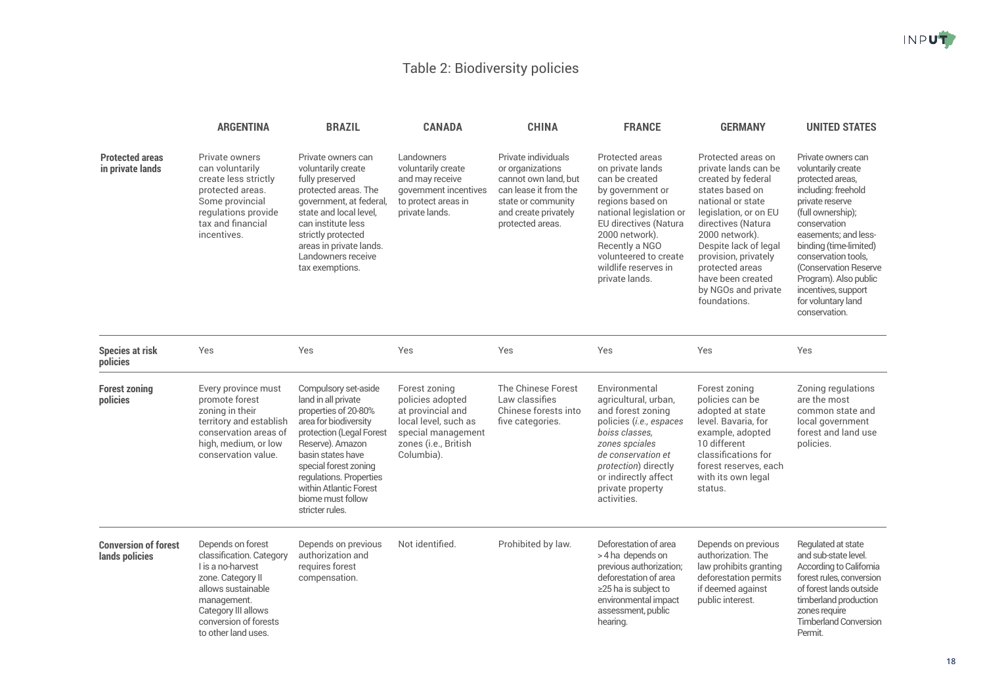## Table 2: Biodiversity policies

|                                               | <b>ARGENTINA</b>                                                                                                                                                                                    | <b>BRAZIL</b>                                                                                                                                                                                                                                                                           | <b>CANADA</b>                                                                                                                              | <b>CHINA</b>                                                                                                                                               | <b>FRANCE</b>                                                                                                                                                                                                                                            | <b>GERMANY</b>                                                                                                                                                                                                                                                                                            | <b>UNITED STATES</b>                                                                                                                                                                                                                                                                                                                  |
|-----------------------------------------------|-----------------------------------------------------------------------------------------------------------------------------------------------------------------------------------------------------|-----------------------------------------------------------------------------------------------------------------------------------------------------------------------------------------------------------------------------------------------------------------------------------------|--------------------------------------------------------------------------------------------------------------------------------------------|------------------------------------------------------------------------------------------------------------------------------------------------------------|----------------------------------------------------------------------------------------------------------------------------------------------------------------------------------------------------------------------------------------------------------|-----------------------------------------------------------------------------------------------------------------------------------------------------------------------------------------------------------------------------------------------------------------------------------------------------------|---------------------------------------------------------------------------------------------------------------------------------------------------------------------------------------------------------------------------------------------------------------------------------------------------------------------------------------|
| <b>Protected areas</b><br>in private lands    | Private owners<br>can voluntarily<br>create less strictly<br>protected areas.<br>Some provincial<br>regulations provide<br>tax and financial<br>incentives.                                         | Private owners can<br>voluntarily create<br>fully preserved<br>protected areas. The<br>government, at federal,<br>state and local level,<br>can institute less<br>strictly protected<br>areas in private lands.<br>Landowners receive<br>tax exemptions.                                | Landowners<br>voluntarily create<br>and may receive<br>government incentives<br>to protect areas in<br>private lands.                      | Private individuals<br>or organizations<br>cannot own land, but<br>can lease it from the<br>state or community<br>and create privately<br>protected areas. | Protected areas<br>on private lands<br>can be created<br>by government or<br>regions based on<br>national legislation or<br>EU directives (Natura<br>2000 network).<br>Recently a NGO<br>volunteered to create<br>wildlife reserves in<br>private lands. | Protected areas on<br>private lands can be<br>created by federal<br>states based on<br>national or state<br>legislation, or on EU<br>directives (Natura<br>2000 network).<br>Despite lack of legal<br>provision, privately<br>protected areas<br>have been created<br>by NGOs and private<br>foundations. | Private owners can<br>voluntarily create<br>protected areas,<br>including: freehold<br>private reserve<br>(full ownership);<br>conservation<br>easements; and less-<br>binding (time-limited)<br>conservation tools,<br>(Conservation Reserve)<br>Program). Also public<br>incentives, support<br>for voluntary land<br>conservation. |
| <b>Species at risk</b><br>policies            | Yes                                                                                                                                                                                                 | Yes                                                                                                                                                                                                                                                                                     | Yes                                                                                                                                        | Yes                                                                                                                                                        | Yes                                                                                                                                                                                                                                                      | Yes                                                                                                                                                                                                                                                                                                       | Yes                                                                                                                                                                                                                                                                                                                                   |
| <b>Forest zoning</b><br>policies              | Every province must<br>promote forest<br>zoning in their<br>territory and establish<br>conservation areas of<br>high, medium, or low<br>conservation value.                                         | Compulsory set-aside<br>land in all private<br>properties of 20-80%<br>area for biodiversity<br>protection (Legal Forest<br>Reserve). Amazon<br>basin states have<br>special forest zoning<br>regulations. Properties<br>within Atlantic Forest<br>biome must follow<br>stricter rules. | Forest zoning<br>policies adopted<br>at provincial and<br>local level, such as<br>special management<br>zones (i.e., British<br>Columbia). | The Chinese Forest<br>Law classifies<br>Chinese forests into<br>five categories.                                                                           | Environmental<br>agricultural, urban,<br>and forest zoning<br>policies (i.e., espaces<br>boisé classes,<br>zones spéiales<br>de conservation et<br>protection) directly<br>or indirectly affect<br>private property<br>activities.                       | Forest zoning<br>policies can be<br>adopted at state<br>level. Bavaria, for<br>example, adopted<br>10 different<br>classifications for<br>forest reserves, each<br>with its own legal<br>status.                                                                                                          | Zoning regulations<br>are the most<br>common state and<br>local government<br>forest and land use<br>policies.                                                                                                                                                                                                                        |
| <b>Conversion of forest</b><br>lands policies | Depends on forest<br>classification. Category<br>I is a no-harvest<br>zone. Category II<br>allows sustainable<br>management.<br>Category III allows<br>conversion of forests<br>to other land uses. | Depends on previous<br>authorization and<br>requires forest<br>compensation.                                                                                                                                                                                                            | Not identified.                                                                                                                            | Prohibited by law.                                                                                                                                         | Deforestation of area<br>> 4 ha depends on<br>previous authorization;<br>deforestation of area<br>≥25 ha is subject to<br>environmental impact<br>assessment, public<br>hearing.                                                                         | Depends on previous<br>authorization. The<br>law prohibits granting<br>deforestation permits<br>if deemed against<br>public interest.                                                                                                                                                                     | Regulated at state<br>and sub-state level.<br>According to California<br>forest rules, conversion<br>of forest lands outside<br>timberland production<br>zones require<br><b>Timberland Conversion</b><br>Permit.                                                                                                                     |